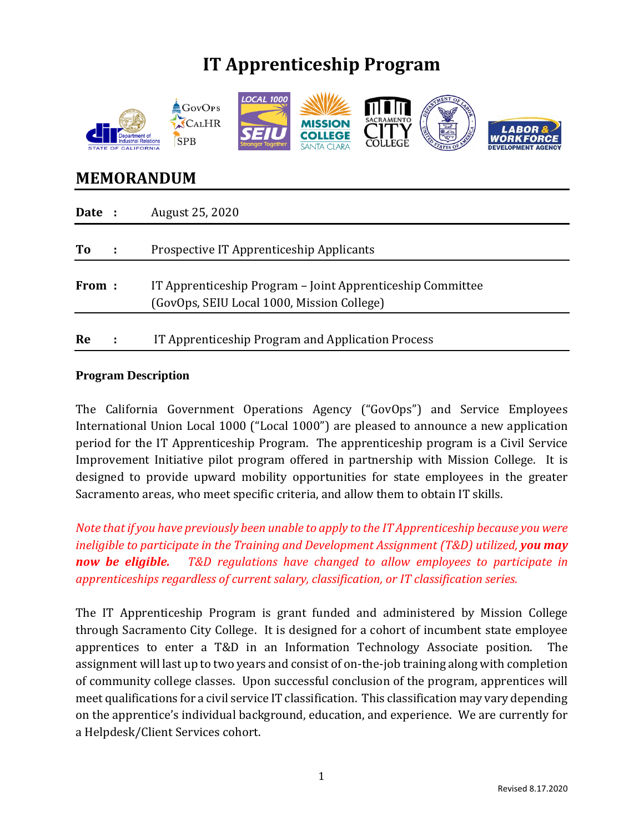# **IT Apprenticeship Program**



# **MEMORANDUM**

| Date : | August 25, 2020                                                                                          |
|--------|----------------------------------------------------------------------------------------------------------|
| To     | Prospective IT Apprenticeship Applicants                                                                 |
| From:  | IT Apprenticeship Program – Joint Apprenticeship Committee<br>(GovOps, SEIU Local 1000, Mission College) |
| Re     | IT Apprenticeship Program and Application Process                                                        |

#### **Program Description**

The California Government Operations Agency ("GovOps") and Service Employees International Union Local 1000 ("Local 1000") are pleased to announce a new application period for the IT Apprenticeship Program. The apprenticeship program is a Civil Service Improvement Initiative pilot program offered in partnership with Mission College. It is designed to provide upward mobility opportunities for state employees in the greater Sacramento areas, who meet specific criteria, and allow them to obtain IT skills.

*Note that if you have previously been unable to apply to the IT Apprenticeship because you were ineligible to participate in the Training and Development Assignment (T&D) utilized, you may now be eligible. T&D regulations have changed to allow employees to participate in apprenticeships regardless of current salary, classification, or IT classification series.*

The IT Apprenticeship Program is grant funded and administered by Mission College through Sacramento City College. It is designed for a cohort of incumbent state employee apprentices to enter a T&D in an Information Technology Associate position. The assignment will last up to two years and consist of on-the-job training along with completion of community college classes. Upon successful conclusion of the program, apprentices will meet qualifications for a civil service IT classification. This classification may vary depending on the apprentice's individual background, education, and experience. We are currently for a Helpdesk/Client Services cohort.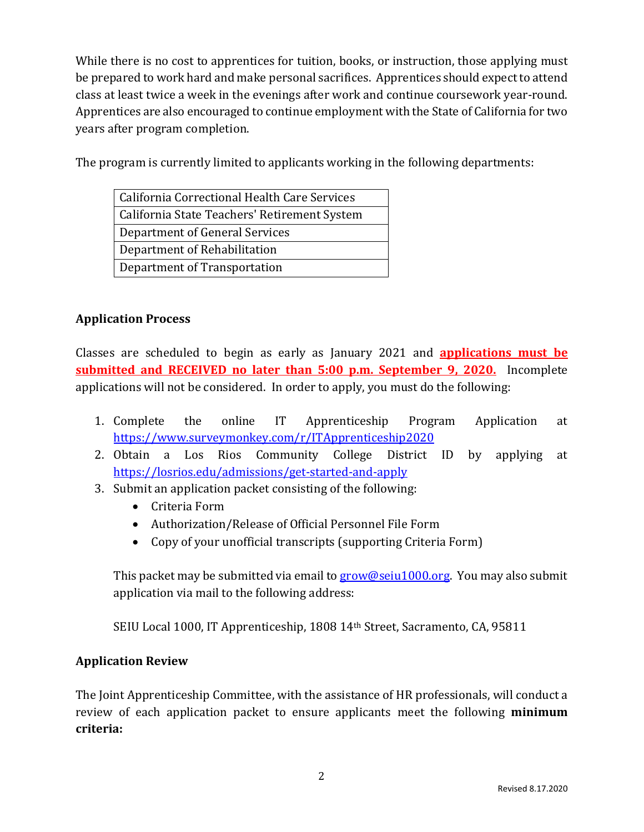While there is no cost to apprentices for tuition, books, or instruction, those applying must be prepared to work hard and make personal sacrifices. Apprentices should expect to attend class at least twice a week in the evenings after work and continue coursework year-round. Apprentices are also encouraged to continue employment with the State of California for two years after program completion.

The program is currently limited to applicants working in the following departments:

## **Application Process**

Classes are scheduled to begin as early as January 2021 and **applications must be submitted and RECEIVED no later than 5:00 p.m. September 9, 2020.** Incomplete applications will not be considered. In order to apply, you must do the following:

- 1. Complete the online IT Apprenticeship Program Application at <https://www.surveymonkey.com/r/ITApprenticeship2020>
- 2. Obtain a Los Rios Community College District ID by applying at <https://losrios.edu/admissions/get-started-and-apply>
- 3. Submit an application packet consisting of the following:
	- Criteria Form
	- Authorization/Release of Official Personnel File Form
	- Copy of your unofficial transcripts (supporting Criteria Form)

This packet may be submitted via email to [grow@seiu1000.org.](mailto:grow@seiu1000.org) You may also submit application via mail to the following address:

SEIU Local 1000, IT Apprenticeship, 1808 14th Street, Sacramento, CA, 95811

### **Application Review**

The Joint Apprenticeship Committee, with the assistance of HR professionals, will conduct a review of each application packet to ensure applicants meet the following **minimum criteria:**